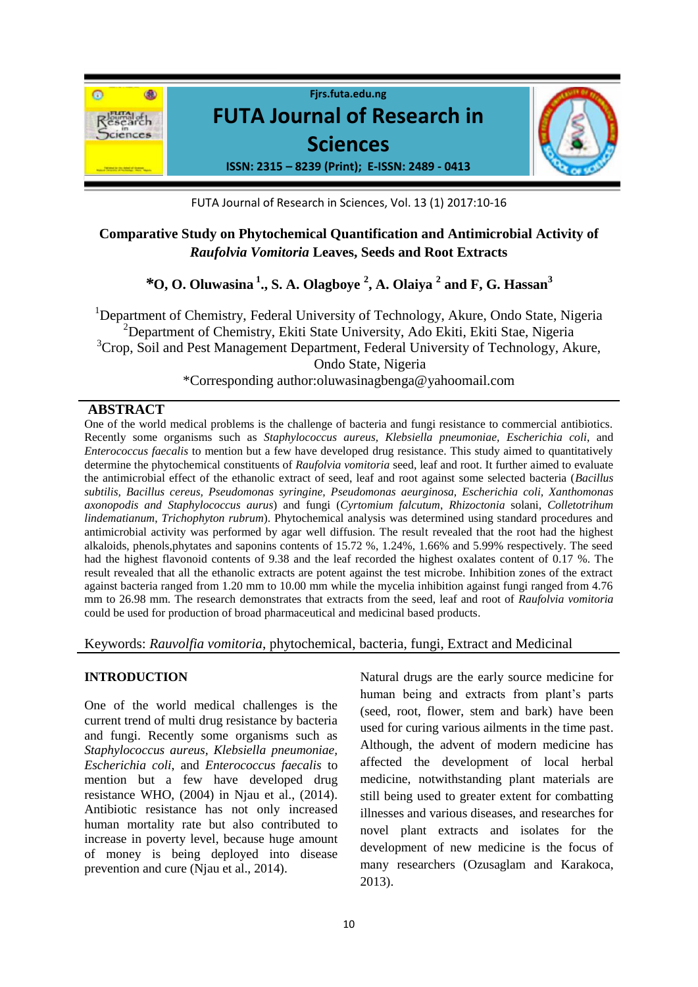

FUTA Journal of Research in Sciences, Vol. 13 (1) 2017:10-16

# **Comparative Study on Phytochemical Quantification and Antimicrobial Activity of**  *Raufolvia Vomitoria* **Leaves, Seeds and Root Extracts**

*\****O, O. Oluwasina <sup>1</sup> ., S. A. Olagboye <sup>2</sup> , A. Olaiya <sup>2</sup> and F, G. Hassan<sup>3</sup>**

<sup>1</sup>Department of Chemistry, Federal University of Technology, Akure, Ondo State, Nigeria  $^{2}$ Department of Chemistry, Ekiti State University, Ado Ekiti, Ekiti Stae, Nigeria <sup>3</sup>Crop, Soil and Pest Management Department, Federal University of Technology, Akure, Ondo State, Nigeria \*Corresponding author:oluwasinagbenga@yahoomail.com

### **ABSTRACT**

One of the world medical problems is the challenge of bacteria and fungi resistance to commercial antibiotics. Recently some organisms such as *Staphylococcus aureus, Klebsiella pneumoniae, Escherichia coli*, and *Enterococcus faecalis* to mention but a few have developed drug resistance. This study aimed to quantitatively determine the phytochemical constituents of *Raufolvia vomitoria* seed, leaf and root. It further aimed to evaluate the antimicrobial effect of the ethanolic extract of seed, leaf and root against some selected bacteria (*Bacillus subtilis, Bacillus cereus, Pseudomonas syringine, Pseudomonas aeurginosa, Escherichia coli, Xanthomonas axonopodis and Staphylococcus aurus*) and fungi (*Cyrtomium falcutum*, *Rhizoctonia* solani, *Colletotrihum lindematianum*, *Trichophyton rubrum*). Phytochemical analysis was determined using standard procedures and antimicrobial activity was performed by agar well diffusion. The result revealed that the root had the highest alkaloids, phenols,phytates and saponins contents of 15.72 %, 1.24%, 1.66% and 5.99% respectively. The seed had the highest flavonoid contents of 9.38 and the leaf recorded the highest oxalates content of 0.17 %. The result revealed that all the ethanolic extracts are potent against the test microbe. Inhibition zones of the extract against bacteria ranged from 1.20 mm to 10.00 mm while the mycelia inhibition against fungi ranged from 4.76 mm to 26.98 mm. The research demonstrates that extracts from the seed, leaf and root of *Raufolvia vomitoria*  could be used for production of broad pharmaceutical and medicinal based products*.*

#### Keywords: *Rauvolfia vomitoria*, phytochemical, bacteria, fungi, Extract and Medicinal

#### **INTRODUCTION**

One of the world medical challenges is the current trend of multi drug resistance by bacteria and fungi. Recently some organisms such as *Staphylococcus aureus, Klebsiella pneumoniae, Escherichia coli*, and *Enterococcus faecalis* to mention but a few have developed drug resistance WHO, (2004) in Njau et al., (2014). Antibiotic resistance has not only increased human mortality rate but also contributed to increase in poverty level, because huge amount of money is being deployed into disease prevention and cure (Njau et al., 2014).

Natural drugs are the early source medicine for human being and extracts from plant's parts (seed, root, flower, stem and bark) have been used for curing various ailments in the time past. Although, the advent of modern medicine has affected the development of local herbal medicine, notwithstanding plant materials are still being used to greater extent for combatting illnesses and various diseases, and researches for novel plant extracts and isolates for the development of new medicine is the focus of many researchers (Ozusaglam and Karakoca, 2013).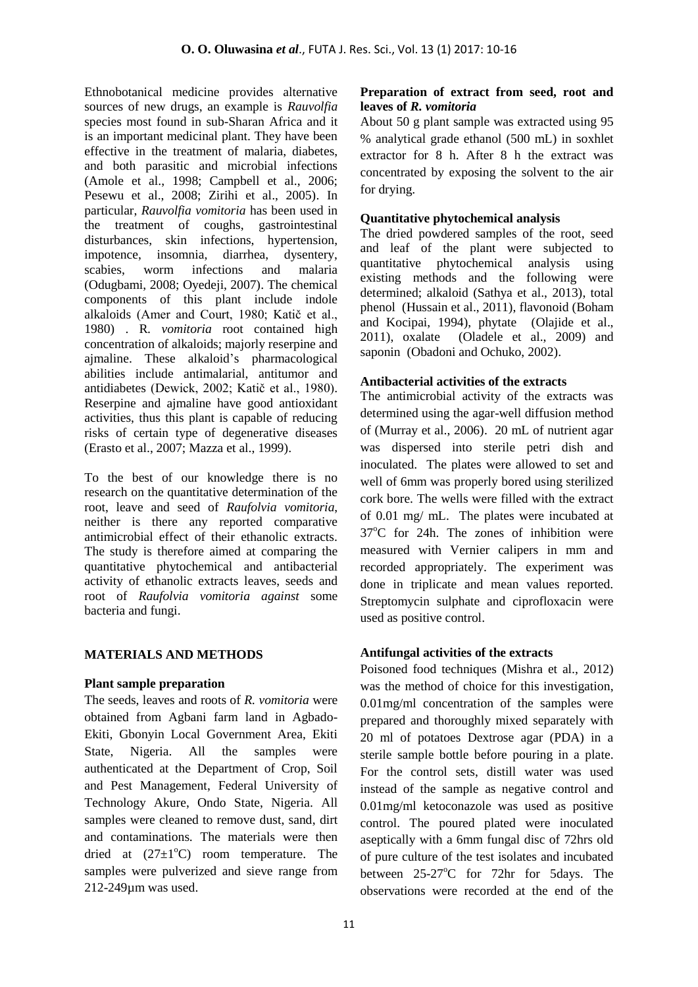Ethnobotanical medicine provides alternative sources of new drugs, an example is *Rauvolfia*  species most found in sub-Sharan Africa and it is an important medicinal plant. They have been effective in the treatment of malaria, diabetes, and both parasitic and microbial infections (Amole et al., 1998; Campbell et al., 2006; Pesewu et al., 2008; Zirihi et al., 2005). In particular, *Rauvolfia vomitoria* has been used in the treatment of coughs, gastrointestinal disturbances, skin infections, hypertension, impotence, insomnia, diarrhea, dysentery, scabies, worm infections and malaria (Odugbami, 2008; Oyedeji, 2007). The chemical components of this plant include indole alkaloids (Amer and Court, 1980; Katič et al., 1980) . R*. vomitoria* root contained high concentration of alkaloids; majorly reserpine and ajmaline. These alkaloid's pharmacological abilities include antimalarial, antitumor and antidiabetes (Dewick, 2002; Katič et al., 1980). Reserpine and ajmaline have good antioxidant activities, thus this plant is capable of reducing risks of certain type of degenerative diseases (Erasto et al., 2007; Mazza et al., 1999).

To the best of our knowledge there is no research on the quantitative determination of the root, leave and seed of *Raufolvia vomitoria*, neither is there any reported comparative antimicrobial effect of their ethanolic extracts. The study is therefore aimed at comparing the quantitative phytochemical and antibacterial activity of ethanolic extracts leaves, seeds and root of *Raufolvia vomitoria against* some bacteria and fungi.

## **MATERIALS AND METHODS**

#### **Plant sample preparation**

The seeds, leaves and roots of *R. vomitoria* were obtained from Agbani farm land in Agbado-Ekiti, Gbonyin Local Government Area, Ekiti State, Nigeria. All the samples were authenticated at the Department of Crop, Soil and Pest Management, Federal University of Technology Akure, Ondo State, Nigeria. All samples were cleaned to remove dust, sand, dirt and contaminations. The materials were then dried at  $(27\pm1\degree C)$  room temperature. The samples were pulverized and sieve range from 212-249µm was used.

## **Preparation of extract from seed, root and leaves of** *R. vomitoria*

About 50 g plant sample was extracted using 95 % analytical grade ethanol (500 mL) in soxhlet extractor for 8 h. After 8 h the extract was concentrated by exposing the solvent to the air for drying.

## **Quantitative phytochemical analysis**

The dried powdered samples of the root, seed and leaf of the plant were subjected to quantitative phytochemical analysis using existing methods and the following were determined; alkaloid (Sathya et al., 2013), total phenol (Hussain et al., 2011), flavonoid (Boham and Kocipai, 1994), phytate (Olajide et al., 2011), oxalate (Oladele et al., 2009) and saponin (Obadoni and Ochuko, 2002).

### **Antibacterial activities of the extracts**

The antimicrobial activity of the extracts was determined using the agar-well diffusion method of (Murray et al., 2006). 20 mL of nutrient agar was dispersed into sterile petri dish and inoculated. The plates were allowed to set and well of 6mm was properly bored using sterilized cork bore. The wells were filled with the extract of 0.01 mg/ mL. The plates were incubated at  $37^{\circ}$ C for 24h. The zones of inhibition were measured with Vernier calipers in mm and recorded appropriately. The experiment was done in triplicate and mean values reported. Streptomycin sulphate and ciprofloxacin were used as positive control.

## **Antifungal activities of the extracts**

Poisoned food techniques (Mishra et al., 2012) was the method of choice for this investigation, 0.01mg/ml concentration of the samples were prepared and thoroughly mixed separately with 20 ml of potatoes Dextrose agar (PDA) in a sterile sample bottle before pouring in a plate. For the control sets, distill water was used instead of the sample as negative control and 0.01mg/ml ketoconazole was used as positive control. The poured plated were inoculated aseptically with a 6mm fungal disc of 72hrs old of pure culture of the test isolates and incubated between  $25-27$ °C for 72hr for 5days. The observations were recorded at the end of the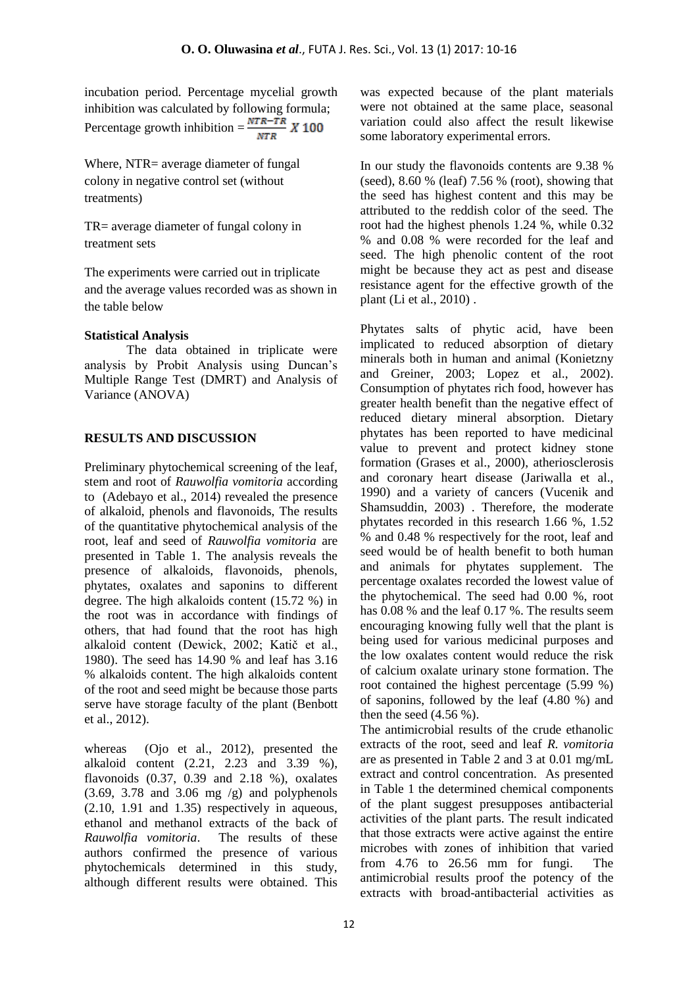incubation period. Percentage mycelial growth inhibition was calculated by following formula; Percentage growth inhibition =  $\frac{NTR - TR}{NTR} X 100$ 

Where, NTR= average diameter of fungal colony in negative control set (without treatments)

TR= average diameter of fungal colony in treatment sets

The experiments were carried out in triplicate and the average values recorded was as shown in the table below

## **Statistical Analysis**

The data obtained in triplicate were analysis by Probit Analysis using Duncan's Multiple Range Test (DMRT) and Analysis of Variance (ANOVA)

## **RESULTS AND DISCUSSION**

Preliminary phytochemical screening of the leaf, stem and root of *Rauwolfia vomitoria* according to (Adebayo et al., 2014) revealed the presence of alkaloid, phenols and flavonoids, The results of the quantitative phytochemical analysis of the root, leaf and seed of *Rauwolfia vomitoria* are presented in Table 1. The analysis reveals the presence of alkaloids, flavonoids, phenols, phytates, oxalates and saponins to different degree. The high alkaloids content (15.72 %) in the root was in accordance with findings of others, that had found that the root has high alkaloid content (Dewick, 2002; Katič et al., 1980). The seed has 14.90 % and leaf has 3.16 % alkaloids content. The high alkaloids content of the root and seed might be because those parts serve have storage faculty of the plant (Benbott et al., 2012).

whereas (Ojo et al., 2012), presented the alkaloid content (2.21, 2.23 and 3.39 %), flavonoids  $(0.37, 0.39, 0.18, 0.9)$ , oxalates  $(3.69, 3.78$  and  $3.06$  mg  $/g$ ) and polyphenols (2.10, 1.91 and 1.35) respectively in aqueous, ethanol and methanol extracts of the back of *Rauwolfia vomitoria*. The results of these authors confirmed the presence of various phytochemicals determined in this study, although different results were obtained. This was expected because of the plant materials were not obtained at the same place, seasonal variation could also affect the result likewise some laboratory experimental errors.

In our study the flavonoids contents are 9.38 % (seed),  $8.60\%$  (leaf)  $7.56\%$  (root), showing that the seed has highest content and this may be attributed to the reddish color of the seed. The root had the highest phenols 1.24 %, while 0.32 % and 0.08 % were recorded for the leaf and seed. The high phenolic content of the root might be because they act as pest and disease resistance agent for the effective growth of the plant (Li et al., 2010) .

Phytates salts of phytic acid, have been implicated to reduced absorption of dietary minerals both in human and animal (Konietzny and Greiner, 2003; Lopez et al., 2002). Consumption of phytates rich food, however has greater health benefit than the negative effect of reduced dietary mineral absorption. Dietary phytates has been reported to have medicinal value to prevent and protect kidney stone formation (Grases et al., 2000), atheriosclerosis and coronary heart disease (Jariwalla et al., 1990) and a variety of cancers (Vucenik and Shamsuddin, 2003) . Therefore, the moderate phytates recorded in this research 1.66 %, 1.52 % and 0.48 % respectively for the root, leaf and seed would be of health benefit to both human and animals for phytates supplement. The percentage oxalates recorded the lowest value of the phytochemical. The seed had 0.00 %, root has 0.08 % and the leaf 0.17 %. The results seem encouraging knowing fully well that the plant is being used for various medicinal purposes and the low oxalates content would reduce the risk of calcium oxalate urinary stone formation. The root contained the highest percentage (5.99 %) of saponins, followed by the leaf (4.80 %) and then the seed  $(4.56\%)$ .

The antimicrobial results of the crude ethanolic extracts of the root, seed and leaf *R. vomitoria* are as presented in Table 2 and 3 at 0.01 mg/mL extract and control concentration. As presented in Table 1 the determined chemical components of the plant suggest presupposes antibacterial activities of the plant parts. The result indicated that those extracts were active against the entire microbes with zones of inhibition that varied from 4.76 to 26.56 mm for fungi. The antimicrobial results proof the potency of the extracts with broad-antibacterial activities as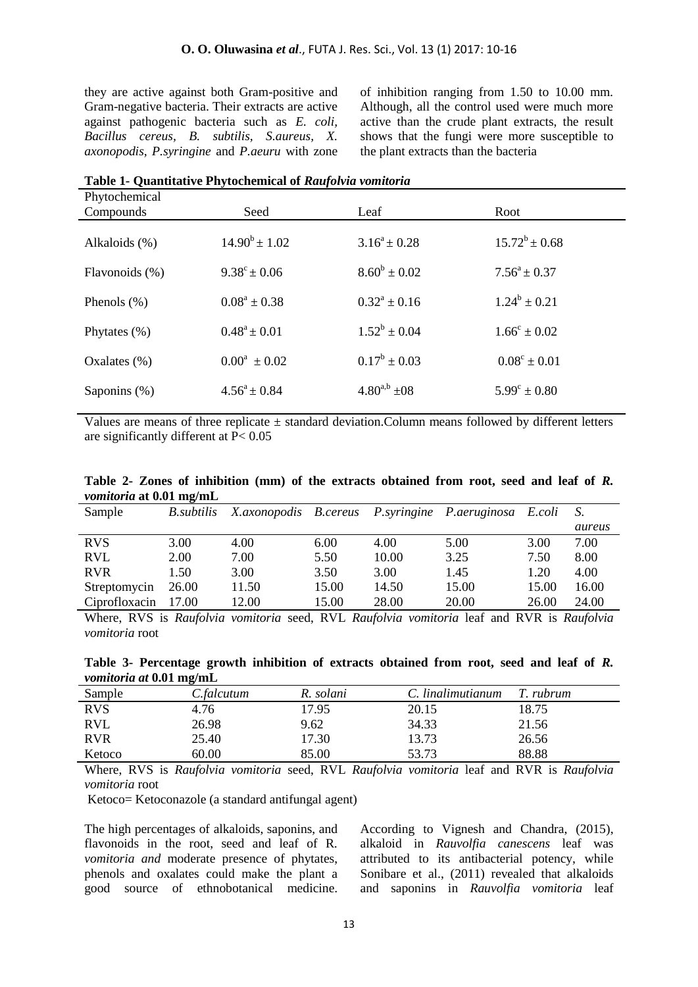they are active against both Gram-positive and Gram-negative bacteria. Their extracts are active against pathogenic bacteria such as *E. coli, Bacillus cereus, B. subtilis, S.aureus, X. axonopodis, P.syringine* and *P.aeuru* with zone of inhibition ranging from 1.50 to 10.00 mm. Although, all the control used were much more active than the crude plant extracts, the result shows that the fungi were more susceptible to the plant extracts than the bacteria

| Table 1- Quantitative Phytochemical of <i>Kaufolyia vomuoria</i> |                         |                   |                         |  |  |  |  |
|------------------------------------------------------------------|-------------------------|-------------------|-------------------------|--|--|--|--|
| Phytochemical                                                    |                         |                   |                         |  |  |  |  |
| Compounds                                                        | Seed                    | Leaf              | Root                    |  |  |  |  |
| Alkaloids (%)                                                    | $14.90^b \pm 1.02$      | $3.16^a \pm 0.28$ | $15.72^b \pm 0.68$      |  |  |  |  |
| Flavonoids (%)                                                   | $9.38^{\circ} \pm 0.06$ | $8.60^b \pm 0.02$ | $7.56^a \pm 0.37$       |  |  |  |  |
| Phenols $(\%)$                                                   | $0.08^a \pm 0.38$       | $0.32^a \pm 0.16$ | $1.24^b \pm 0.21$       |  |  |  |  |
| Phytates $(\% )$                                                 | $0.48^a \pm 0.01$       | $1.52^b \pm 0.04$ | $1.66^{\circ} \pm 0.02$ |  |  |  |  |
| Oxalates $(\%)$                                                  | $0.00^a \pm 0.02$       | $0.17^b \pm 0.03$ | $0.08^{\circ} \pm 0.01$ |  |  |  |  |
| Saponins (%)                                                     | $4.56^a \pm 0.84$       | $4.80^{a,b}$ ±08  | $5.99^{\circ} \pm 0.80$ |  |  |  |  |

**Table 1- Quantitative Phytochemical of** *Raufolvia vomitoria*

Values are means of three replicate  $\pm$  standard deviation. Column means followed by different letters are significantly different at P< 0.05

|                                |  | Table 2- Zones of inhibition (mm) of the extracts obtained from root, seed and leaf of R. |  |  |  |  |  |  |
|--------------------------------|--|-------------------------------------------------------------------------------------------|--|--|--|--|--|--|
| <i>vomitoria</i> at 0.01 mg/mL |  |                                                                                           |  |  |  |  |  |  |

| Sample        | B.subtilis | X.axonopodis B.cereus |       |       | P.syringine P.aeruginosa E.coli |       |        |
|---------------|------------|-----------------------|-------|-------|---------------------------------|-------|--------|
|               |            |                       |       |       |                                 |       | aureus |
| <b>RVS</b>    | 3.00       | 4.00                  | 6.00  | 4.00  | 5.00                            | 3.00  | 7.00   |
| <b>RVL</b>    | 2.00       | 7.00                  | 5.50  | 10.00 | 3.25                            | 7.50  | 8.00   |
| <b>RVR</b>    | 1.50       | 3.00                  | 3.50  | 3.00  | 1.45                            | 1.20  | 4.00   |
| Streptomycin  | 26.00      | 11.50                 | 15.00 | 14.50 | 15.00                           | 15.00 | 16.00  |
| Ciprofloxacin | 17.00      | 12.00                 | 15.00 | 28.00 | 20.00                           | 26.00 | 24.00  |
|               |            |                       |       |       |                                 |       |        |

Where, RVS is *Raufolvia vomitoria* seed, RVL *Raufolvia vomitoria* leaf and RVR is *Raufolvia vomitoria* root

**Table 3- Percentage growth inhibition of extracts obtained from root, seed and leaf of** *R. vomitoria at* **0.01 mg/mL**

| Sample     | C.falcutum | R. solani | C. linalimutianum | T. rubrum |
|------------|------------|-----------|-------------------|-----------|
| <b>RVS</b> | 4.76       | 17.95     | 20.15             | 18.75     |
| <b>RVL</b> | 26.98      | 9.62      | 34.33             | 21.56     |
| <b>RVR</b> | 25.40      | 17.30     | 13.73             | 26.56     |
| Ketoco     | 60.00      | 85.00     | 53.73             | 88.88     |

Where, RVS is *Raufolvia vomitoria* seed, RVL *Raufolvia vomitoria* leaf and RVR is *Raufolvia vomitoria* root

Ketoco= Ketoconazole (a standard antifungal agent)

The high percentages of alkaloids, saponins, and flavonoids in the root, seed and leaf of R*. vomitoria and* moderate presence of phytates, phenols and oxalates could make the plant a good source of ethnobotanical medicine.

According to Vignesh and Chandra, (2015), alkaloid in *Rauvolfia canescens* leaf was attributed to its antibacterial potency, while Sonibare et al., (2011) revealed that alkaloids and saponins in *Rauvolfia vomitoria* leaf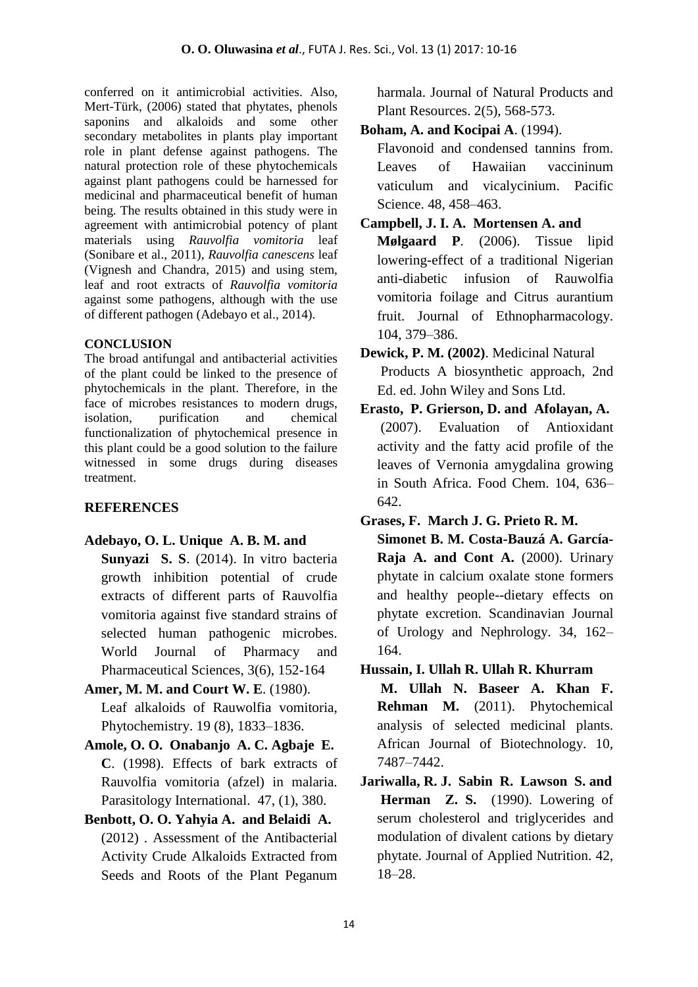conferred on it antimicrobial activities. Also, Mert-Türk, (2006) stated that phytates, phenols saponins and alkaloids and some other secondary metabolites in plants play important role in plant defense against pathogens. The natural protection role of these phytochemicals against plant pathogens could be harnessed for medicinal and pharmaceutical benefit of human being. The results obtained in this study were in agreement with antimicrobial potency of plant materials using *Rauvolfia vomitoria* leaf (Sonibare et al., 2011), *Rauvolfia canescens* leaf (Vignesh and Chandra, 2015) and using stem, leaf and root extracts of *Rauvolfia vomitoria* against some pathogens, although with the use of different pathogen (Adebayo et al., 2014).

## **CONCLUSION**

The broad antifungal and antibacterial activities of the plant could be linked to the presence of phytochemicals in the plant. Therefore, in the face of microbes resistances to modern drugs, isolation, purification and chemical functionalization of phytochemical presence in this plant could be a good solution to the failure witnessed in some drugs during diseases treatment.

# **REFERENCES**

# **Adebayo, O. L. Unique A. B. M. and**

- **Sunyazi S. S**. (2014). In vitro bacteria growth inhibition potential of crude extracts of different parts of Rauvolfia vomitoria against five standard strains of selected human pathogenic microbes. World Journal of Pharmacy and Pharmaceutical Sciences, 3(6), 152-164
- **Amer, M. M. and Court W. E**. (1980). Leaf alkaloids of Rauwolfia vomitoria, Phytochemistry. 19 (8), 1833–1836.
- **Amole, O. O. Onabanjo A. C. Agbaje E. C**. (1998). Effects of bark extracts of Rauvolfia vomitoria (afzel) in malaria. Parasitology International. 47, (1), 380.
- **Benbott, O. O. Yahyia A. and Belaidi A.** (2012) . Assessment of the Antibacterial Activity Crude Alkaloids Extracted from Seeds and Roots of the Plant Peganum

harmala. Journal of Natural Products and Plant Resources. 2(5), 568-573.

**Boham, A. and Kocipai A**. (1994).

Flavonoid and condensed tannins from. Leaves of Hawaiian vaccininum vaticulum and vicalycinium. Pacific Science. 48, 458–463.

**Campbell, J. I. A. Mortensen A. and**

**Mølgaard P**. (2006). Tissue lipid lowering-effect of a traditional Nigerian anti-diabetic infusion of Rauwolfia vomitoria foilage and Citrus aurantium fruit. Journal of Ethnopharmacology. 104, 379–386.

- **Dewick, P. M. (2002)**. Medicinal Natural Products A biosynthetic approach, 2nd Ed. ed. John Wiley and Sons Ltd.
- **Erasto, P. Grierson, D. and Afolayan, A.** (2007). Evaluation of Antioxidant activity and the fatty acid profile of the leaves of Vernonia amygdalina growing in South Africa. Food Chem. 104, 636– 642.
- **Grases, F. March J. G. Prieto R. M. Simonet B. M. Costa-Bauzá A. García-Raja A. and Cont A.** (2000). Urinary phytate in calcium oxalate stone formers and healthy people--dietary effects on phytate excretion. Scandinavian Journal of Urology and Nephrology. 34, 162– 164.
- **Hussain, I. Ullah R. Ullah R. Khurram**

**M. Ullah N. Baseer A. Khan F. Rehman M.** (2011). Phytochemical analysis of selected medicinal plants. African Journal of Biotechnology. 10, 7487–7442.

**Jariwalla, R. J. Sabin R. Lawson S. and Herman Z. S.** (1990). Lowering of serum cholesterol and triglycerides and modulation of divalent cations by dietary phytate. Journal of Applied Nutrition. 42, 18–28.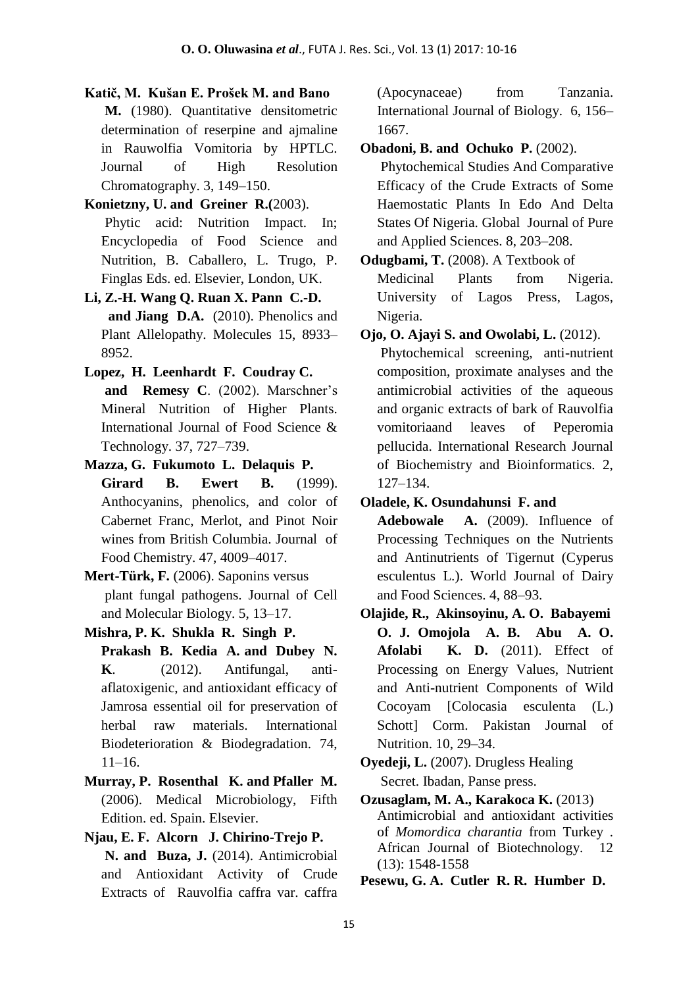- **Katič, M. Kušan E. Prošek M. and Bano M.** (1980). Quantitative densitometric determination of reserpine and ajmaline in Rauwolfia Vomitoria by HPTLC. Journal of High Resolution Chromatography. 3, 149–150.
- **Konietzny, U. and Greiner R.(**2003). Phytic acid: Nutrition Impact. In; Encyclopedia of Food Science and Nutrition, B. Caballero, L. Trugo, P. Finglas Eds. ed. Elsevier, London, UK.
- **Li, Z.-H. Wang Q. Ruan X. Pann C.-D. and Jiang D.A.** (2010). Phenolics and Plant Allelopathy. Molecules 15, 8933– 8952.
- **Lopez, H. Leenhardt F. Coudray C. and Remesy C**. (2002). Marschner's Mineral Nutrition of Higher Plants. International Journal of Food Science & Technology. 37, 727–739.
- **Mazza, G. Fukumoto L. Delaquis P. Girard B. Ewert B.** (1999). Anthocyanins, phenolics, and color of Cabernet Franc, Merlot, and Pinot Noir wines from British Columbia. Journal of Food Chemistry. 47, 4009–4017.
- **Mert-Türk, F.** (2006). Saponins versus plant fungal pathogens. Journal of Cell and Molecular Biology. 5, 13–17.
- **Mishra, P. K. Shukla R. Singh P. Prakash B. Kedia A. and Dubey N. K**. (2012). Antifungal, antiaflatoxigenic, and antioxidant efficacy of Jamrosa essential oil for preservation of herbal raw materials. International Biodeterioration & Biodegradation. 74,  $11-16.$
- **Murray, P. Rosenthal K. and Pfaller M.** (2006). Medical Microbiology, Fifth Edition. ed. Spain. Elsevier.
- **Njau, E. F. Alcorn J. Chirino-Trejo P. N. and Buza, J.** (2014). Antimicrobial and Antioxidant Activity of Crude Extracts of Rauvolfia caffra var. caffra

(Apocynaceae) from Tanzania. International Journal of Biology. 6, 156– 1667.

**Obadoni, B. and Ochuko P.** (2002).

Phytochemical Studies And Comparative Efficacy of the Crude Extracts of Some Haemostatic Plants In Edo And Delta States Of Nigeria. Global Journal of Pure and Applied Sciences. 8, 203–208.

**Odugbami, T.** (2008). A Textbook of Medicinal Plants from Nigeria. University of Lagos Press, Lagos, Nigeria.

**Ojo, O. Ajayi S. and Owolabi, L.** (2012).

Phytochemical screening, anti-nutrient composition, proximate analyses and the antimicrobial activities of the aqueous and organic extracts of bark of Rauvolfia vomitoriaand leaves of Peperomia pellucida. International Research Journal of Biochemistry and Bioinformatics. 2, 127–134.

**Oladele, K. Osundahunsi F. and**

**Adebowale A.** (2009). Influence of Processing Techniques on the Nutrients and Antinutrients of Tigernut (Cyperus esculentus L.). World Journal of Dairy and Food Sciences. 4, 88–93.

- **Olajide, R., Akinsoyinu, A. O. Babayemi O. J. Omojola A. B. Abu A. O. Afolabi K. D.** (2011). Effect of Processing on Energy Values, Nutrient and Anti-nutrient Components of Wild Cocoyam [Colocasia esculenta (L.) Schott] Corm. Pakistan Journal of Nutrition. 10, 29–34.
- **Oyedeji, L.** (2007). Drugless Healing Secret. Ibadan, Panse press.
- **Ozusaglam, M. A., Karakoca K.** (2013) Antimicrobial and antioxidant activities of *Momordica charantia* from Turkey . African Journal of Biotechnology. 12 (13): 1548-1558

**Pesewu, G. A. Cutler R. R. Humber D.**